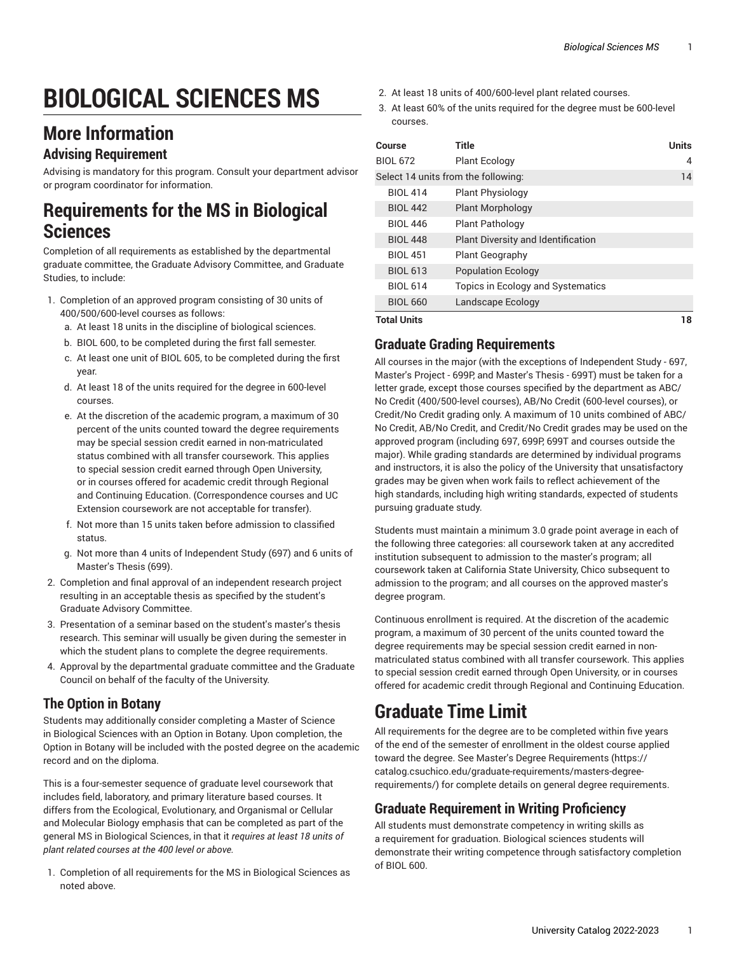# **BIOLOGICAL SCIENCES MS**

### **More Information**

#### **Advising Requirement**

Advising is mandatory for this program. Consult your department advisor or program coordinator for information.

#### **Requirements for the MS in Biological Sciences**

Completion of all requirements as established by the departmental graduate committee, the Graduate Advisory Committee, and Graduate Studies, to include:

- 1. Completion of an approved program consisting of 30 units of 400/500/600-level courses as follows:
	- a. At least 18 units in the discipline of biological sciences.
	- b. BIOL 600, to be completed during the first fall semester.
	- c. At least one unit of BIOL 605, to be completed during the first year.
	- d. At least 18 of the units required for the degree in 600-level courses.
	- e. At the discretion of the academic program, a maximum of 30 percent of the units counted toward the degree requirements may be special session credit earned in non-matriculated status combined with all transfer coursework. This applies to special session credit earned through Open University, or in courses offered for academic credit through Regional and Continuing Education. (Correspondence courses and UC Extension coursework are not acceptable for transfer).
	- f. Not more than 15 units taken before admission to classified status.
	- g. Not more than 4 units of Independent Study (697) and 6 units of Master's Thesis (699).
- 2. Completion and final approval of an independent research project resulting in an acceptable thesis as specified by the student's Graduate Advisory Committee.
- 3. Presentation of a seminar based on the student's master's thesis research. This seminar will usually be given during the semester in which the student plans to complete the degree requirements.
- 4. Approval by the departmental graduate committee and the Graduate Council on behalf of the faculty of the University.

#### **The Option in Botany**

Students may additionally consider completing a Master of Science in Biological Sciences with an Option in Botany. Upon completion, the Option in Botany will be included with the posted degree on the academic record and on the diploma.

This is a four-semester sequence of graduate level coursework that includes field, laboratory, and primary literature based courses. It differs from the Ecological, Evolutionary, and Organismal or Cellular and Molecular Biology emphasis that can be completed as part of the general MS in Biological Sciences, in that it *requires at least 18 units of plant related courses at the 400 level or above.*

1. Completion of all requirements for the MS in Biological Sciences as noted above.

- 2. At least 18 units of 400/600-level plant related courses.
- 3. At least 60% of the units required for the degree must be 600-level courses.

| Course                              | Title                              | <b>Units</b> |
|-------------------------------------|------------------------------------|--------------|
| <b>BIOL 672</b>                     | <b>Plant Ecology</b>               | 4            |
| Select 14 units from the following: |                                    | 14           |
| <b>BIOL 414</b>                     | <b>Plant Physiology</b>            |              |
| <b>BIOL 442</b>                     | <b>Plant Morphology</b>            |              |
| <b>BIOL 446</b>                     | <b>Plant Pathology</b>             |              |
| <b>BIOL 448</b>                     | Plant Diversity and Identification |              |
| <b>BIOL 451</b>                     | <b>Plant Geography</b>             |              |
| <b>BIOL 613</b>                     | <b>Population Ecology</b>          |              |
| <b>BIOL 614</b>                     | Topics in Ecology and Systematics  |              |
| <b>BIOL 660</b>                     | Landscape Ecology                  |              |
| <b>Total Units</b>                  |                                    | 18           |

**Total Units 18**

#### **Graduate Grading Requirements**

All courses in the major (with the exceptions of Independent Study - 697, Master's Project - 699P, and Master's Thesis - 699T) must be taken for a letter grade, except those courses specified by the department as ABC/ No Credit (400/500-level courses), AB/No Credit (600-level courses), or Credit/No Credit grading only. A maximum of 10 units combined of ABC/ No Credit, AB/No Credit, and Credit/No Credit grades may be used on the approved program (including 697, 699P, 699T and courses outside the major). While grading standards are determined by individual programs and instructors, it is also the policy of the University that unsatisfactory grades may be given when work fails to reflect achievement of the high standards, including high writing standards, expected of students pursuing graduate study.

Students must maintain a minimum 3.0 grade point average in each of the following three categories: all coursework taken at any accredited institution subsequent to admission to the master's program; all coursework taken at California State University, Chico subsequent to admission to the program; and all courses on the approved master's degree program.

Continuous enrollment is required. At the discretion of the academic program, a maximum of 30 percent of the units counted toward the degree requirements may be special session credit earned in nonmatriculated status combined with all transfer coursework. This applies to special session credit earned through Open University, or in courses offered for academic credit through Regional and Continuing Education.

## **Graduate Time Limit**

All requirements for the degree are to be completed within five years of the end of the semester of enrollment in the oldest course applied toward the degree. See Master's Degree [Requirements](https://catalog.csuchico.edu/graduate-requirements/masters-degree-requirements/) ([https://](https://catalog.csuchico.edu/graduate-requirements/masters-degree-requirements/) [catalog.csuchico.edu/graduate-requirements/masters-degree](https://catalog.csuchico.edu/graduate-requirements/masters-degree-requirements/)[requirements/](https://catalog.csuchico.edu/graduate-requirements/masters-degree-requirements/)) for complete details on general degree requirements.

#### **Graduate Requirement in Writing Proficiency**

All students must demonstrate competency in writing skills as a requirement for graduation. Biological sciences students will demonstrate their writing competence through satisfactory completion of BIOL 600.